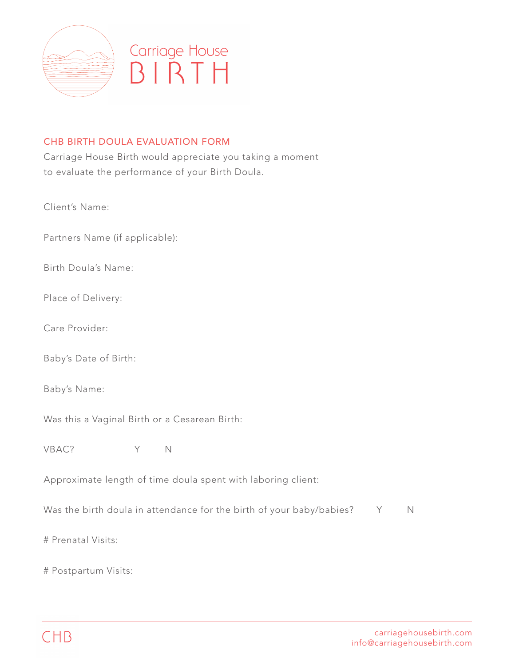

## Carriage House BIRTH

## CHB BIRTH DOULA EVALUATION FORM

Carriage House Birth would appreciate you taking a moment to evaluate the performance of your Birth Doula.

Client's Name:

Partners Name (if applicable):

Birth Doula's Name:

Place of Delivery:

Care Provider:

Baby's Date of Birth:

Baby's Name:

Was this a Vaginal Birth or a Cesarean Birth:

VBAC? Y N

Approximate length of time doula spent with laboring client:

Was the birth doula in attendance for the birth of your baby/babies? Y N

# Prenatal Visits:

# Postpartum Visits: